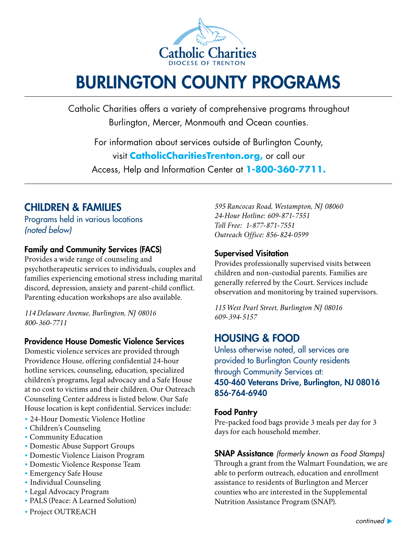

# BURLINGTON COUNTY PROGRAMS

Catholic Charities offers a variety of comprehensive programs throughout Burlington, Mercer, Monmouth and Ocean counties.

For information about services outside of Burlington County, visit **CatholicCharitiesTrenton.org,** or call our Access, Help and Information Center at **1-800-360-7711.**

### CHILDREN & FAMILIES

Programs held in various locations *(noted below)*

### Family and Community Services (FACS)

Provides a wide range of counseling and psychotherapeutic services to individuals, couples and families experiencing emotional stress including marital discord, depression, anxiety and parent-child conflict. Parenting education workshops are also available.

*114 Delaware Avenue, Burlington, NJ 08016 800-360-7711*

### Providence House Domestic Violence Services

Domestic violence services are provided through Providence House, offering confidential 24-hour hotline services, counseling, education, specialized children's programs, legal advocacy and a Safe House at no cost to victims and their children. Our Outreach Counseling Center address is listed below. Our Safe House location is kept confidential. Services include:

- 24-Hour Domestic Violence Hotline
- Children's Counseling
- Community Education
- Domestic Abuse Support Groups
- Domestic Violence Liaison Program
- Domestic Violence Response Team
- Emergency Safe House
- Individual Counseling
- Legal Advocacy Program
- PALS (Peace: A Learned Solution)
- Project OUTREACH

*595 Rancocas Road, Westampton, NJ 08060 24-Hour Hotline: 609-871-7551 Toll Free: 1-877-871-7551 Outreach Office: 856-824-0599*

### Supervised Visitation

Provides professionally supervised visits between children and non-custodial parents. Families are generally referred by the Court. Services include observation and monitoring by trained supervisors.

*115 West Pearl Street, Burlington NJ 08016 609-394-5157* 

### HOUSING & FOOD

Unless otherwise noted, all services are provided to Burlington County residents through Community Services at: 450-460 Veterans Drive, Burlington, NJ 08016 856-764-6940

### Food Pantry

Pre-packed food bags provide 3 meals per day for 3 days for each household member.

SNAP Assistance *(formerly known as Food Stamps)* Through a grant from the Walmart Foundation, we are able to perform outreach, education and enrollment assistance to residents of Burlington and Mercer counties who are interested in the Supplemental Nutrition Assistance Program (SNAP).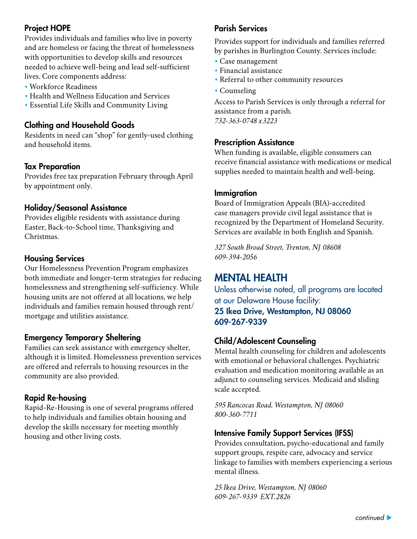### Project HOPE

Provides individuals and families who live in poverty and are homeless or facing the threat of homelessness with opportunities to develop skills and resources needed to achieve well-being and lead self-sufficient lives. Core components address:

- Workforce Readiness
- Health and Wellness Education and Services
- Essential Life Skills and Community Living

### Clothing and Household Goods

Residents in need can "shop" for gently-used clothing and household items.

### Tax Preparation

Provides free tax preparation February through April by appointment only.

### Holiday/Seasonal Assistance

Provides eligible residents with assistance during Easter, Back-to-School time, Thanksgiving and Christmas.

### Housing Services

Our Homelessness Prevention Program emphasizes both immediate and longer-term strategies for reducing homelessness and strengthening self-sufficiency. While housing units are not offered at all locations, we help individuals and families remain housed through rent/ mortgage and utilities assistance.

### Emergency Temporary Sheltering

Families can seek assistance with emergency shelter, although it is limited. Homelessness prevention services are offered and referrals to housing resources in the community are also provided.

### Rapid Re-housing

Rapid-Re-Housing is one of several programs offered to help individuals and families obtain housing and develop the skills necessary for meeting monthly housing and other living costs.

### Parish Services

Provides support for individuals and families referred by parishes in Burlington County. Services include:

- Case management
- Financial assistance
- Referral to other community resources
- Counseling

Access to Parish Services is only through a referral for assistance from a parish. *732-363-0748 x3223*

#### Prescription Assistance

When funding is available, eligible consumers can receive financial assistance with medications or medical supplies needed to maintain health and well-being.

#### Immigration

Board of Immigration Appeals (BIA)-accredited case managers provide civil legal assistance that is recognized by the Department of Homeland Security. Services are available in both English and Spanish.

*327 South Broad Street, Trenton, NJ 08608 609-394-2056*

### MENTAL HEALTH

Unless otherwise noted, all programs are located at our Delaware House facility: 25 Ikea Drive, Westampton, NJ 08060 609-267-9339

### Child/Adolescent Counseling

Mental health counseling for children and adolescents with emotional or behavioral challenges. Psychiatric evaluation and medication monitoring available as an adjunct to counseling services. Medicaid and sliding scale accepted.

*595 Rancocas Road, Westampton, NJ 08060 800-360-7711*

### Intensive Family Support Services (IFSS)

Provides consultation, psycho-educational and family support groups, respite care, advocacy and service linkage to families with members experiencing a serious mental illness.

*25 Ikea Drive, Westampton, NJ 08060 609-267-9339 EXT.2826*